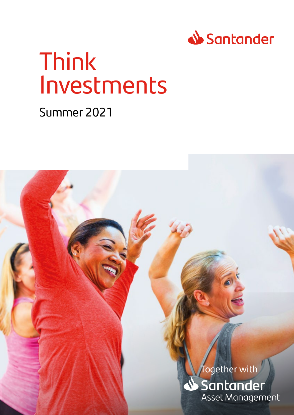

# Think Investments

### Summer 2021

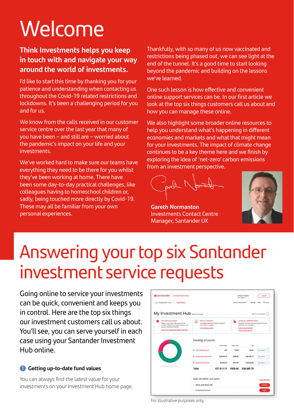# Welcome

#### **Think Investments helps you keep in touch with and navigate your way around the world of investments.**

I'd like to start this time by thanking you for your patience and understanding when contacting us throughout the Covid-19 related restrictions and lockdowns. It's been a challenging period for you and for us.

We know from the calls received in our customer service centre over the last year that many of you have been – and still are – worried about the pandemic's impact on your life and your investments.

We've worked hard to make sure our teams have everything they need to be there for you whilst they've been working at home. There have been some day-to-day practical challenges, like colleagues having to homeschool children or, sadly, being touched more directly by Covid-19. These may all be familiar from your own personal experiences.

Thankfully, with so many of us now vaccinated and restrictions being phased out, we can see light at the end of the tunnel. It's a good time to start looking beyond the pandemic and building on the lessons we've learned.

One such lesson is how effective and convenient online support services can be. In our first article we look at the top six things customers call us about and how you can manage these online.

We also highlight some broader online resources to help you understand what's happening in different economies and markets and what that might mean for your investments. The impact of climate change continues to be a key theme here and we finish by exploring the idea of 'net-zero' carbon emissions from an investment perspective.

 $\Lambda$   $\Lambda$ 

**Gareth Normanton**  Investments Contact Centre Manager, Santander UK



## Answering your top six Santander investment service requests

Going online to service your investments can be quick, convenient and keeps you in control. Here are the top six things our investment customers call us about. You'll see, you can serve yourself in each case using your Santander Investment Hub online.

#### 1 **Getting up-to-date fund values**

You can always find the latest value for your investments on your Investment Hub home page.

| Santander   Investment Hub                                                                                                                                                                            |                                                                                                                          |                      |                      | Anon Client<br><b>User</b> Inspect of                                                                                                                                                              | <b>Log off</b>         |
|-------------------------------------------------------------------------------------------------------------------------------------------------------------------------------------------------------|--------------------------------------------------------------------------------------------------------------------------|----------------------|----------------------|----------------------------------------------------------------------------------------------------------------------------------------------------------------------------------------------------|------------------------|
| My investment Hub ~   Summary                                                                                                                                                                         |                                                                                                                          |                      |                      | Hopi & bocuments" - Settings Felip Takitout                                                                                                                                                        |                        |
| My Investment Hub samenas                                                                                                                                                                             |                                                                                                                          |                      |                      |                                                                                                                                                                                                    | Hot be screen guess    |
| <b>Reut Cash Dely Account</b><br>Money in your Cash Only Account is not<br>mosted that his sea bolding around, or to<br>payary towarest Hd here<br>Or will us a vertaillife Direct Debit to pay fees. | <b>Hart an investment</b><br>Due Digital Investment Adviser is perfect if<br>parts new to investing<br>SALEMAKERATE ADAM |                      |                      | <b>Browin aur Investment funds</b><br>Research the furnits and their performance and<br><b>Intelligence plan financiales</b><br>Closen, Dan Balled Driverseer<br><b>View the Series first fact</b> |                        |
|                                                                                                                                                                                                       | <b>Existing accounts</b>                                                                                                 | <b>Talus minuted</b> | <b>Talus in such</b> | <b>Select</b>                                                                                                                                                                                      |                        |
|                                                                                                                                                                                                       | C Cash Only Account                                                                                                      | <b>WA</b>            | 68.00                | 09.00                                                                                                                                                                                              | <b>My actions</b><br>v |
|                                                                                                                                                                                                       | C Stocks and Shares ISA                                                                                                  | 628, 226, 95         | 6308.22              | £28,536.77                                                                                                                                                                                         | My apports             |
|                                                                                                                                                                                                       | <b>C</b> Investment Account                                                                                              | 03.390.56            | <b>CE11AE</b>        | £18,322.02                                                                                                                                                                                         | <b>Wy schora</b>       |
|                                                                                                                                                                                                       | Total                                                                                                                    | £37.611.11           | 63,629.68            | £38, 550.79                                                                                                                                                                                        |                        |
|                                                                                                                                                                                                       | Add another account                                                                                                      |                      |                      |                                                                                                                                                                                                    | Mark Information       |
|                                                                                                                                                                                                       | C Stocks and Shares ISA                                                                                                  |                      |                      |                                                                                                                                                                                                    | <b>Transfer</b>        |
|                                                                                                                                                                                                       | <b>C. Investment Associat</b>                                                                                            |                      |                      |                                                                                                                                                                                                    |                        |

For illustrative purposes only.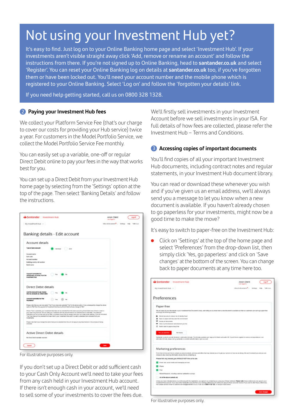## Not using your Investment Hub yet?

It's easy to find. Just log on to your Online Banking home page and select 'Investment Hub'. If your investments aren't visible straight away click 'Add, remove or rename an account' and follow the instructions from there. If you're not signed up to Online Banking, head to **santander.co.uk** and select 'Register'. You can reset your Online Banking log on details at **santander.co.uk** too, if you've forgotten them or have been locked out. You'll need your account number and the mobile phone which is registered to your Online Banking. Select 'Log on' and follow the 'forgotten your details' link.

If you need help getting started, call us on 0800 328 1328.

#### 2 **Paying your Investment Hub fees**

We collect your Platform Service Fee (that's our charge to cover our costs for providing your Hub service) twice a year. For customers in the Model Portfolio Service, we collect the Model Portfolio Service Fee monthly.

You can easily set up a variable, one-off or regular Direct Debit online to pay your fees in the way that works best for you.

You can set up a Direct Debit from your Investment Hub home page by selecting from the 'Settings' option at the top of the page. Then select 'Banking Details' and follow the instructions.

| Sontander Investment Hub                                                                   |                |                                                                                                                                                                                                                                                                                                                                                                                                                                                                                                                                  | Anon Client<br><b>Class Support of</b>     | Ltg off |
|--------------------------------------------------------------------------------------------|----------------|----------------------------------------------------------------------------------------------------------------------------------------------------------------------------------------------------------------------------------------------------------------------------------------------------------------------------------------------------------------------------------------------------------------------------------------------------------------------------------------------------------------------------------|--------------------------------------------|---------|
| My Investment Hub                                                                          |                |                                                                                                                                                                                                                                                                                                                                                                                                                                                                                                                                  | MANA Renations  Sellings  today  Tulkin un |         |
| Banking details - Edit account                                                             |                |                                                                                                                                                                                                                                                                                                                                                                                                                                                                                                                                  |                                            |         |
| Account details                                                                            |                |                                                                                                                                                                                                                                                                                                                                                                                                                                                                                                                                  |                                            |         |
| Type of pank appoint                                                                       | Indicated Date |                                                                                                                                                                                                                                                                                                                                                                                                                                                                                                                                  |                                            |         |
| <b>Associate number</b><br>San zute                                                        |                |                                                                                                                                                                                                                                                                                                                                                                                                                                                                                                                                  |                                            |         |
| Account mariber<br>Building cockey not marked<br><b>Back some</b>                          |                |                                                                                                                                                                                                                                                                                                                                                                                                                                                                                                                                  |                                            |         |
| Assount nontrated for<br>withdraward of money from the<br><b>Institute Hab</b>             | 1 Yes          | to:                                                                                                                                                                                                                                                                                                                                                                                                                                                                                                                              |                                            |         |
| Direct Debit details<br>Ups this account to pay money                                      |                |                                                                                                                                                                                                                                                                                                                                                                                                                                                                                                                                  |                                            |         |
| into my products by Check Dept.                                                            | Voic           |                                                                                                                                                                                                                                                                                                                                                                                                                                                                                                                                  |                                            |         |
| Assount nominates for Fee<br>Paymants?                                                     | Yes            | be.                                                                                                                                                                                                                                                                                                                                                                                                                                                                                                                              |                                            |         |
| righteds That the Highway of investment this face by Direct Bobb will also change to Thirt |                | Please rate that precise only select "Fox" if you have also selected "Fox" to the above option. If you subsequently change the above                                                                                                                                                                                                                                                                                                                                                                                             |                                            |         |
| <b>ISUSERIES</b>                                                                           |                | Where "has" is sended, your insertion thus does will be entertainment this hand account by timest East in part in capit in<br>your Cash (315) Account 194 will notify you in advance with the ameurit-that act on collected and on labat date. Etc. advance<br>THORSCOPY will be by ential and lot by letter, so choose ensure that we always have your up to date small address. If you do not select<br>"had then bee will be collected from said higher involuntant this and if he cash is available then collected from your |                                            |         |
| counters                                                                                   |                | Please note that if you image the sytem that you've related than the will not apply to any fees that are in the process of being.                                                                                                                                                                                                                                                                                                                                                                                                |                                            |         |
| Active Direct Debit details                                                                |                |                                                                                                                                                                                                                                                                                                                                                                                                                                                                                                                                  |                                            |         |
| No Circuit Catil Augustate received                                                        |                |                                                                                                                                                                                                                                                                                                                                                                                                                                                                                                                                  |                                            |         |
| Genui                                                                                      |                |                                                                                                                                                                                                                                                                                                                                                                                                                                                                                                                                  |                                            |         |

For illustrative purposes only.

If you don't set up a Direct Debit or add sufficient cash to your Cash Only Account we'll need to take your fees from any cash held in your Investment Hub account. If there isn't enough cash in your account, we'll need to sell some of your investments to cover the fees due.

We'll firstly sell investments in your Investment Account before we sell investments in your ISA. For full details of how fees are collected, please refer the Investment Hub – Terms and Conditions.

#### **3** Accessing copies of important documents

You'll find copies of all your important Investment Hub documents, including contract notes and regular statements, in your Investment Hub document library.

You can read or download these whenever you wish and if you've given us an email address, we'll always send you a message to let you know when a new document is available. If you haven't already chosen to go paperless for your investments, might now be a good time to make the move?

It's easy to switch to paper-free on the Investment Hub:

Click on 'Settings' at the top of the home page and select 'Preferences' from the drop-down list, then simply click 'Yes, go paperless' and click on 'Save changes' at the bottom of the screen. You can change back to paper documents at any time here too.

| Santander   Investment Hub                                                                                                                                                                                                                                                                                                                                                                                                                                                                                                                                                                                                                                                                                                                                                                                                                                                                                                                                                                                                                                     | Anon Client<br>Line topped in      | <b>ALCOHOL:</b> |
|----------------------------------------------------------------------------------------------------------------------------------------------------------------------------------------------------------------------------------------------------------------------------------------------------------------------------------------------------------------------------------------------------------------------------------------------------------------------------------------------------------------------------------------------------------------------------------------------------------------------------------------------------------------------------------------------------------------------------------------------------------------------------------------------------------------------------------------------------------------------------------------------------------------------------------------------------------------------------------------------------------------------------------------------------------------|------------------------------------|-----------------|
| My investment Hub                                                                                                                                                                                                                                                                                                                                                                                                                                                                                                                                                                                                                                                                                                                                                                                                                                                                                                                                                                                                                                              | Information - Canada and Calculate | Talk to an      |
| Preferences                                                                                                                                                                                                                                                                                                                                                                                                                                                                                                                                                                                                                                                                                                                                                                                                                                                                                                                                                                                                                                                    |                                    |                 |
| Paper-free                                                                                                                                                                                                                                                                                                                                                                                                                                                                                                                                                                                                                                                                                                                                                                                                                                                                                                                                                                                                                                                     |                                    |                 |
| We will place all your descriptions, in your invisibilities that Cocument Library, and retails you by email when a new description to available on that our customers, can call to go capan their<br>and more the transmitter tenants.                                                                                                                                                                                                                                                                                                                                                                                                                                                                                                                                                                                                                                                                                                                                                                                                                         |                                    |                 |
| Stoned securely to reduce this of identity fixed                                                                                                                                                                                                                                                                                                                                                                                                                                                                                                                                                                                                                                                                                                                                                                                                                                                                                                                                                                                                               |                                    |                 |
| Save on paper and help save the environment                                                                                                                                                                                                                                                                                                                                                                                                                                                                                                                                                                                                                                                                                                                                                                                                                                                                                                                                                                                                                    |                                    |                 |
| Annex al Assembly                                                                                                                                                                                                                                                                                                                                                                                                                                                                                                                                                                                                                                                                                                                                                                                                                                                                                                                                                                                                                                              |                                    |                 |
| West or print engineer and education shall be-                                                                                                                                                                                                                                                                                                                                                                                                                                                                                                                                                                                                                                                                                                                                                                                                                                                                                                                                                                                                                 |                                    |                 |
| E Behridsch to paper at any tries                                                                                                                                                                                                                                                                                                                                                                                                                                                                                                                                                                                                                                                                                                                                                                                                                                                                                                                                                                                                                              |                                    |                 |
| <b>Fire, go paperboar</b><br><b>PALIFONIA</b>                                                                                                                                                                                                                                                                                                                                                                                                                                                                                                                                                                                                                                                                                                                                                                                                                                                                                                                                                                                                                  |                                    |                 |
| Sankareby is able to provide the abun in alternative furnate. The formate postation and targe print. Bracks and audio CD. If positione to register to receive company to receive the train<br>alteriative formal, please stall up santander couplatematically mate or give us a said.                                                                                                                                                                                                                                                                                                                                                                                                                                                                                                                                                                                                                                                                                                                                                                          |                                    |                 |
| Marketing preferences<br>Prom-tree to time word like to contact you about products, wandow and often that may misiniar you'cr to get your opinion on how we are doing. We won't contact you and you can<br>choose to also receiving information at any time by contacting us.<br>Please tick any box(es) you WOULD NOT like us to use:<br>firmal, bod, social media and messaging services<br>Florida<br>Post<br>Market Research, including customer satisfaction surveys.<br>All of the above custeps and<br>Unique you have industrial above, by continuing with this registration, you agree to us contacting you using any of these nichrichs. Please sight, those continuinces only apply to your<br>VANDRAVERS account. If you have offer Sankersky accounts then your acciding preferences will continue to apply to those accounts have not in the able than a prefer than a problem of you wish to alser these preferences.<br>then please send an ensel to customer services@sentender.co.uk, or call us on \$600 9 120, or visit your local branch. |                                    |                 |
|                                                                                                                                                                                                                                                                                                                                                                                                                                                                                                                                                                                                                                                                                                                                                                                                                                                                                                                                                                                                                                                                |                                    |                 |
|                                                                                                                                                                                                                                                                                                                                                                                                                                                                                                                                                                                                                                                                                                                                                                                                                                                                                                                                                                                                                                                                |                                    |                 |

For illustrative purposes only.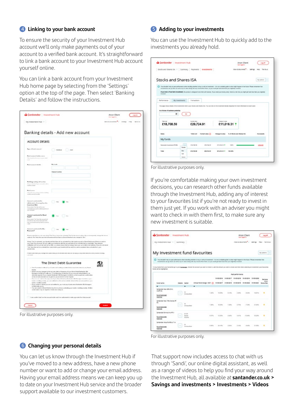#### 4 **Linking to your bank account**

To ensure the security of your Investment Hub account we'll only make payments out of your account to a verified bank account. It's straightforward to link a bank account to your Investment Hub account yourself online.

You can link a bank account from your Investment Hub home page by selecting from the 'Settings' option at the top of the page. Then select 'Banking Details' and follow the instructions.

|                                                                                                                                                                                                                                                                                                                                                                                                                                                                | Banking details - Add new account                                                                                                                                                                                                                                                                                                                                                                                                                                                                                                                                                                                                                                                                             |  |
|----------------------------------------------------------------------------------------------------------------------------------------------------------------------------------------------------------------------------------------------------------------------------------------------------------------------------------------------------------------------------------------------------------------------------------------------------------------|---------------------------------------------------------------------------------------------------------------------------------------------------------------------------------------------------------------------------------------------------------------------------------------------------------------------------------------------------------------------------------------------------------------------------------------------------------------------------------------------------------------------------------------------------------------------------------------------------------------------------------------------------------------------------------------------------------------|--|
|                                                                                                                                                                                                                                                                                                                                                                                                                                                                |                                                                                                                                                                                                                                                                                                                                                                                                                                                                                                                                                                                                                                                                                                               |  |
| Account details                                                                                                                                                                                                                                                                                                                                                                                                                                                |                                                                                                                                                                                                                                                                                                                                                                                                                                                                                                                                                                                                                                                                                                               |  |
| Topon Charl company                                                                                                                                                                                                                                                                                                                                                                                                                                            | Cheese Chee                                                                                                                                                                                                                                                                                                                                                                                                                                                                                                                                                                                                                                                                                                   |  |
| Rock assessed babba some-<br>and and<br>$\sim$                                                                                                                                                                                                                                                                                                                                                                                                                 |                                                                                                                                                                                                                                                                                                                                                                                                                                                                                                                                                                                                                                                                                                               |  |
| North comment statistics                                                                                                                                                                                                                                                                                                                                                                                                                                       |                                                                                                                                                                                                                                                                                                                                                                                                                                                                                                                                                                                                                                                                                                               |  |
|                                                                                                                                                                                                                                                                                                                                                                                                                                                                | <b><i><u>basels</u>edia</i></b>                                                                                                                                                                                                                                                                                                                                                                                                                                                                                                                                                                                                                                                                               |  |
| Relating analog and machine                                                                                                                                                                                                                                                                                                                                                                                                                                    |                                                                                                                                                                                                                                                                                                                                                                                                                                                                                                                                                                                                                                                                                                               |  |
| $\label{eq:1.1} \begin{split} \mathcal{H}(\mathbf{x}_1) &= \mathbf{e} \sin \theta \quad \mbox{for} \quad \mathcal{V}_1,\\ \mathcal{H}(\mathbf{x}) &= \mathbf{e} \cos \theta \mathbf{e} \end{split}$<br>So forms                                                                                                                                                                                                                                                |                                                                                                                                                                                                                                                                                                                                                                                                                                                                                                                                                                                                                                                                                                               |  |
| Then it this way to all your<br>wide annual availa                                                                                                                                                                                                                                                                                                                                                                                                             |                                                                                                                                                                                                                                                                                                                                                                                                                                                                                                                                                                                                                                                                                                               |  |
| and a particular of New<br>.<br>United at a respect to<br>Impound Mate<br>Rays aried Tex Incidences<br>workshell account by salish assistant all                                                                                                                                                                                                                                                                                                               | ○ 7m ● 3a                                                                                                                                                                                                                                                                                                                                                                                                                                                                                                                                                                                                                                                                                                     |  |
| and sendants.<br>Amount contineted for Street                                                                                                                                                                                                                                                                                                                                                                                                                  | $\bullet$ $\sim$ $\circ$ $\sim$                                                                                                                                                                                                                                                                                                                                                                                                                                                                                                                                                                                                                                                                               |  |
| 5447<br>Reparation "For Your fair assessed all<br>with your freezed next true that you about in                                                                                                                                                                                                                                                                                                                                                                |                                                                                                                                                                                                                                                                                                                                                                                                                                                                                                                                                                                                                                                                                                               |  |
| $- - +$<br>$\label{eq:reduced} \begin{split} \mathbf{a} & = \mathbf{b} + \mathbf{c} + \mathbf{d} \cdot \mathbf{b} + \mathbf{b} + \mathbf{c} + \mathbf{c} + \mathbf{c} + \mathbf{c} + \mathbf{c} + \mathbf{c} + \mathbf{c} + \mathbf{c} + \mathbf{c} + \mathbf{c} + \mathbf{c} + \mathbf{c} + \mathbf{c} + \mathbf{c} + \mathbf{c} + \mathbf{c} + \mathbf{c} + \mathbf{c} + \mathbf{c} + \mathbf{c} + \mathbf{c} + \mathbf{c} + \mathbf{c} + \math$<br>Promoth? | $\Box$ . $\blacksquare$                                                                                                                                                                                                                                                                                                                                                                                                                                                                                                                                                                                                                                                                                       |  |
| wine collection? price ones with shelp                                                                                                                                                                                                                                                                                                                                                                                                                         | <b>China's Bar</b><br>police in 76 of them the course of the projected that there is three different of who showers in 76 of                                                                                                                                                                                                                                                                                                                                                                                                                                                                                                                                                                                  |  |
| <b>FRIDAY ROAD</b>                                                                                                                                                                                                                                                                                                                                                                                                                                             | Where "Fire" is extended, your bound-year Pap Deep will be collected from Nite Least account by Denal Deal more of Rows in costs in<br>your Cash Drily Accounts We will will you in advance advice around but will be collected and an what date. You advance<br>relibedien ad los by einet and rel by letter, as please essure that we always have your up to state renal address. If you do not set not<br>"You" does here not be unitedled from seek tend myour insentment Pola and if to seek as assigned them unitedled from your                                                                                                                                                                        |  |
| and a state of                                                                                                                                                                                                                                                                                                                                                                                                                                                 | There can not a you compt the specified you of entertainment was an indicate my tree temperature yourself of the                                                                                                                                                                                                                                                                                                                                                                                                                                                                                                                                                                                              |  |
|                                                                                                                                                                                                                                                                                                                                                                                                                                                                | The Direct Debit Guarantee                                                                                                                                                                                                                                                                                                                                                                                                                                                                                                                                                                                                                                                                                    |  |
| $+$ This file<br><b>Disk</b><br>logic in building streets.                                                                                                                                                                                                                                                                                                                                                                                                     | allowing all trade and leating a control ball transit ball-trained to pay the<br>- 20 have a sine prison per to the amount, date or treparers of your Devolutional Eastwater Sta.<br>- Kinnegers because with you 10 werkers logo in advance of your account long driated as an<br>shoreder agreed 17 year request Surdayer 43A Managers Limited in school a payment, conferration.<br>of the actuals are less are use gains or you automotive arms, respons-<br>The commission in the copy and of your file of the date for the child of the expectation of your<br>from the content of the present of the content of the content of the content of the content of the content of the content of the content |  |
| Lite de disades groupe.<br>contentation may be required. Interest and ranky us.                                                                                                                                                                                                                                                                                                                                                                                | + If you reads a related you we not rediffed by your set you it look artest fundament IDA Warrage to<br>. You services a Direct Drait at any time by struty perioding your land or babiley models. Andlers                                                                                                                                                                                                                                                                                                                                                                                                                                                                                                    |  |
|                                                                                                                                                                                                                                                                                                                                                                                                                                                                | I securely that her the assuration to and her automotive mate payment from the assurant                                                                                                                                                                                                                                                                                                                                                                                                                                                                                                                                                                                                                       |  |

For illustrative purposes only.

#### 6 **Changing your personal details**

You can let us know through the Investment Hub if you've moved to a new address, have a new phone number or want to add or change your email address. Having your email address means we can keep you up to date on your Investment Hub service and the broader support available to our investment customers.

#### 5 **Adding to your investments**

You can use the Investment Hub to quickly add to the investments you already hold.

|                                                                                                                                                                                                                                                                                                                                  | Santander   Investment Hub     |                             |                   |                                                      |                                 | Anon Client<br><b>Chart topped in</b> | Ling off             |
|----------------------------------------------------------------------------------------------------------------------------------------------------------------------------------------------------------------------------------------------------------------------------------------------------------------------------------|--------------------------------|-----------------------------|-------------------|------------------------------------------------------|---------------------------------|---------------------------------------|----------------------|
| Stocks and Shares (SA ~ Summary   Reyments   Investments                                                                                                                                                                                                                                                                         |                                |                             |                   |                                                      |                                 | How & Bounets"<br>Selfries.           | Tak fill up<br>146.0 |
| Stocks and Shares ISA                                                                                                                                                                                                                                                                                                            |                                |                             |                   |                                                      |                                 |                                       | My deliant<br>÷      |
| ø<br>You shouldn't rely on past performance when deciding whether to loop or sell an investment - it is not a reliable quale to what might hugges in the future. Please remember that<br>investments not go down as well on ap in value along with any insume from them, we you reall get best less than you originally minimal. |                                |                             |                   |                                                      |                                 |                                       |                      |
| If you hold a Flood form investment, this product is designed to be held until maturity. If you need your money early, there is a list but you ringt get back less than you clightally<br>important                                                                                                                              |                                |                             |                   |                                                      |                                 |                                       |                      |
| Performance<br><b>Wy investments</b>                                                                                                                                                                                                                                                                                             |                                | Transactions:               |                   |                                                      |                                 |                                       |                      |
|                                                                                                                                                                                                                                                                                                                                  |                                |                             |                   |                                                      |                                 |                                       |                      |
|                                                                                                                                                                                                                                                                                                                                  |                                |                             |                   |                                                      |                                 |                                       |                      |
| The page shows details of the showclineries held in your Docks and Shums IDA. This can close to the showclineric decain singulates for more information on rand- asset                                                                                                                                                           |                                |                             |                   |                                                      |                                 |                                       |                      |
| Ja showe of insteam periodic<br>$\alpha$                                                                                                                                                                                                                                                                                         |                                |                             |                   |                                                      |                                 |                                       |                      |
|                                                                                                                                                                                                                                                                                                                                  |                                |                             |                   |                                                      |                                 |                                       |                      |
| Tripp and<br>£18,708.59                                                                                                                                                                                                                                                                                                          |                                | Current value<br>£29,724.91 |                   | Change in renar                                      | £11,016.31 <sup>+</sup>         |                                       |                      |
|                                                                                                                                                                                                                                                                                                                                  |                                |                             |                   |                                                      |                                 |                                       |                      |
| <b>Nigelia</b>                                                                                                                                                                                                                                                                                                                   |                                | Total and                   | Cornell'value (2) | <b>Change In votes</b>                               | N.W. Whether send Sharper 19.1. |                                       | Codwanable           |
| My funds                                                                                                                                                                                                                                                                                                                         |                                |                             |                   |                                                      |                                 |                                       |                      |
| Santander Investment PK 6A                                                                                                                                                                                                                                                                                                       | 152<br><b>Details</b>          | 74 & 208 Rd                 | <b>439 704 96</b> | <b>WW.044.55 W</b>                                   | <b>NSOF</b>                     |                                       | <b>COOK</b>          |
| <b>Total</b>                                                                                                                                                                                                                                                                                                                     | Bay.<br>Text.<br><b>Darkul</b> | 118, 100.00                 | 499,764.91        | <b><i><u><i><u><b>RELASS AND</b></u></i></u></i></b> | <b>NEW JERRY</b>                |                                       |                      |

For illustrative purposes only.

If you're comfortable making your own investment decisions, you can research other funds available through the Investment Hub, adding any of interest to your favourites list if you're not ready to invest in them just yet. If you work with an adviser you might want to check in with them first, to make sure any new investment is suitable.

| Santander Investment Hub                                                               |          |                                             |                                                                                                                                                                                                                                                                                                                                                                                                                                                                                                                                                         |         |                       |                                                        | Anon Client<br><b>User Inggent</b> In            |         | Log off                                              |
|----------------------------------------------------------------------------------------|----------|---------------------------------------------|---------------------------------------------------------------------------------------------------------------------------------------------------------------------------------------------------------------------------------------------------------------------------------------------------------------------------------------------------------------------------------------------------------------------------------------------------------------------------------------------------------------------------------------------------------|---------|-----------------------|--------------------------------------------------------|--------------------------------------------------|---------|------------------------------------------------------|
| My investment Hugo ~ Summary                                                           |          |                                             |                                                                                                                                                                                                                                                                                                                                                                                                                                                                                                                                                         |         |                       |                                                        | moon's possmeres" - pettings - Pero - Tek Strate |         |                                                      |
| My Investment fund favourites                                                          |          |                                             |                                                                                                                                                                                                                                                                                                                                                                                                                                                                                                                                                         |         |                       |                                                        |                                                  |         | My suitars.                                          |
| o<br>funds will be highlighted.                                                        |          |                                             | You shouldn't rely on past pelumance when deciding whether to buy or sell an investment - it is not a reliative public to what might happen in the future. Please remember that<br>showsthearted man get detects per well are up in instead abong with any imports from them, we you could get beach loss theirs you onlything immediate<br>Fix those frame pluse featurement gas to your <u>burning and</u> a fixebook the account you want to insure in, and the amount you want to image when select select selecting an investment your fascourters |         |                       |                                                        |                                                  |         |                                                      |
|                                                                                        |          |                                             |                                                                                                                                                                                                                                                                                                                                                                                                                                                                                                                                                         |         |                       | <b>Past performance</b>                                |                                                  |         |                                                      |
| <b>Fund hame</b>                                                                       | Datable. | Seiter                                      | Avouat and charge / 007 - 21 31/05/2012 - 21/05/2019 - 21/05/2019 - 21/05/2020 - 21/05/2021                                                                                                                                                                                                                                                                                                                                                                                                                                                             | ٠       | ٠                     | 314562016 314562017 314562018 314562019 314562020<br>٠ | $\sim$                                           |         | <b>Barnove</b><br><b>Basic</b><br><b>Geologi Bas</b> |
|                                                                                        |          | ٠                                           | ٠                                                                                                                                                                                                                                                                                                                                                                                                                                                                                                                                                       |         |                       |                                                        |                                                  |         |                                                      |
| Santander blur ANL Shin<br>cordel dog<br><b>Fund Rectinent</b><br>152410               | $\sim$   | in.<br><b>University</b>                    | $-0.002$<br>1,305.                                                                                                                                                                                                                                                                                                                                                                                                                                                                                                                                      | 13, 02% | <b>SYCOS</b><br>0.53% | 2,395.                                                 | $-0.345$                                         | 14, 61% |                                                      |
|                                                                                        | $\sim$   | 16<br>Unclosediat                           | 1.00%                                                                                                                                                                                                                                                                                                                                                                                                                                                                                                                                                   | id. SON | 4.34%                 | 2.70%                                                  | 2.505                                            | 31,045  |                                                      |
| Sentandar total 70% Drame: PT<br>10,110                                                |          |                                             |                                                                                                                                                                                                                                                                                                                                                                                                                                                                                                                                                         |         |                       |                                                        |                                                  |         |                                                      |
| BA.<br><b>DATA PAGADEER</b><br>Santander Brinned Inc Pf III<br>faculterizones<br>10110 | $\sim$   | <b>IA LIE</b><br>Equity<br><b>Incorpora</b> | $=17.5$                                                                                                                                                                                                                                                                                                                                                                                                                                                                                                                                                 | 12,309  | 2,42%                 | 3,319.                                                 | 13.46%                                           | 11.30   |                                                      |

For illustrative purposes only.

That support now includes access to chat with us through 'Sandi', our online digital assistant, as well as a range of videos to help you find your way around the Investment Hub, all available at **santander.co.uk > Savings and investments > Investments > Videos**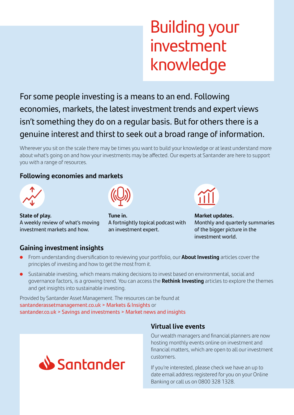## Building your investment knowledge

For some people investing is a means to an end. Following economies, markets, the latest investment trends and expert views isn't something they do on a regular basis. But for others there is a genuine interest and thirst to seek out a broad range of information.

Wherever you sit on the scale there may be times you want to build your knowledge or at least understand more about what's going on and how your investments may be affected. Our experts at Santander are here to support you with a range of resources.

#### **Following economies and markets**



**State of play.**  A weekly review of what's moving investment markets and how.



**Tune in.**  A fortnightly topical podcast with an investment expert.



**Market updates.**  Monthly and quarterly summaries of the bigger picture in the investment world.

#### **Gaining investment insights**

- From understanding diversification to reviewing your portfolio, our **About Investing** articles cover the principles of investing and how to get the most from it.
- Sustainable investing, which means making decisions to invest based on environmental, social and governance factors, is a growing trend. You can access the **Rethink Investing** articles to explore the themes and get insights into sustainable investing.

Provided by Santander Asset Management. The resources can be found at santanderassetmanagement.co.uk > Markets & Insights or santander.co.uk > Savings and investments > Market news and insights



#### **Virtual live events**

Our wealth managers and financial planners are now hosting monthly events online on investment and financial matters, which are open to all our investment customers.

If you're interested, please check we have an up to date email address registered for you on your Online Banking or call us on 0800 328 1328.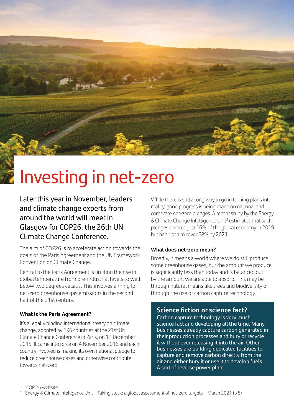Investing in net-zero

 $45 - 10$ 

Later this year in November, leaders and climate change experts from around the world will meet in Glasgow for COP26, the 26th UN Climate Change Conference.

The aim of COP26 is to accelerate action towards the goals of the Paris Agreement and the UN Framework Convention on Climate Change.<sup>1</sup>

Central to the Paris Agreement is limiting the rise in global temperature from pre-industrial levels to well below two degrees celsius. This involves aiming for net-zero greenhouse gas emissions in the second half of the 21st century.

#### **What is the Paris Agreement?**

It's a legally binding international treaty on climate change, adopted by 196 countries at the 21st UN Climate Change Conference in Paris, on 12 December 2015. It came into force on 4 November 2016 and each country involved is making its own national pledge to reduce greenhouse gases and otherwise contribute towards net-zero.

While there is still a long way to go in turning plans into reality, good progress is being made on national and corporate net-zero pledges. A recent study by the Energy & Climate Change Intelligence Unit<sup>2</sup> estimates that such pledges covered just 16% of the global economy in 2019 but had risen to cover 68% by 2021.

#### **What does net-zero mean?**

Broadly, it means a world where we do still produce some greenhouse gases, but the amount we produce is significantly less than today and is balanced out by the amount we are able to absorb. This may be through natural means like trees and biodiversity or through the use of carbon capture technology.

#### **Science fiction or science fact?**

Carbon capture technology is very much science fact and developing all the time. Many businesses already capture carbon generated in their production processes and bury or recycle it without ever releasing it into the air. Other businesses are building dedicated facilities to capture and remove carbon directly from the air and either bury it or use it to develop fuels. A sort of reverse power plant.

<sup>1</sup> COP 26 website

<sup>2</sup> Energy & Climate Intelligence Unit – Taking stock: a global assessment of net-zero targets – March 2021 (p 8)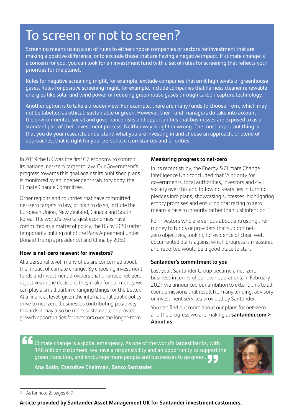### To screen or not to screen?

Screening means using a set of rules to either choose companies or sectors for investment that are making a positive difference, or to exclude those that are having a negative impact. If climate change is a concern for you, you can look for an investment fund with a set of rules for screening that reflects your priorities for the planet.

Rules for negative screening might, for example, exclude companies that emit high levels of greenhouse gases. Rules for positive screening might, for example, include companies that harness cleaner renewable energies like solar and wind power or reducing greenhouse gases through carbon capture technology.

Another option is to take a broader view. For example, there are many funds to choose from, which may not be labelled as ethical, sustainable or green. However, their fund managers do take into account the environmental, social and governance risks and opportunities that businesses are exposed to as a standard part of their investment process. Neither way is right or wrong. The most important thing is that you do your research, understand what you are investing in and choose an approach, or blend of approaches, that is right for your personal circumstances and priorities.

In 2019 the UK was the first G7 economy to commit its national net-zero target to law. Our Government's progress towards this goal against its published plans is monitored by an independent statutory body, the Climate Change Committee.

Other regions and countries that have committed net-zero targets to law, or plan to do so, include the European Union, New Zealand, Canada and South Korea. The world's two largest economies have committed as a matter of policy, the US by 2050 (after temporarily pulling out of the Paris Agreement under Donald Trump's presidency) and China by 2060.

#### **How is net-zero relevant for investors?**

At a personal level, many of us are concerned about the impact of climate change. By choosing investment funds and investment providers that prioritise net-zero objectives in the decisions they make for our money we can play a small part in changing things for the better. At a financial level, given the international public policy drive to net-zero, businesses contributing positively towards it may also be more sustainable or provide growth opportunities for investors over the longer-term.

#### **Measuring progress to net-zero**

In its recent study, the Energy & Climate Change Intelligence Unit concluded that "A priority for governments, local authorities, investors and civil society over this and following years lies in turning pledges into plans, showcasing successes, highlighting empty promises and ensuring that racing to zero means a race to integrity rather than just intention."3

For investors who are serious about entrusting their money to funds or providers that support netzero objectives, looking for evidence of clear, well documented plans against which progress is measured and reported would be a good place to start.

#### **Santander's commitment to you**

Last year, Santander Group became a net-zero business in terms of our own operations. In February 2021 we announced our ambition to extend this to all client emissions that result from any lending, advisory or investment services provided by Santander.

You can find out more about our plans for net-zero and the progress we are making at **santander.com > About us**

Climate change is a global emergency. As one of the world's largest banks, with 148 million customers, we have a responsibility and an opportunity to support the green transition, and encourage more people and businesses to go green.  $\blacksquare$ **"** 

**Ana Botin, Executive Chairman, Banco Santander**



**Article provided by Santander Asset Management UK for Santander investment customers.**

As for note 2, pages 6-7